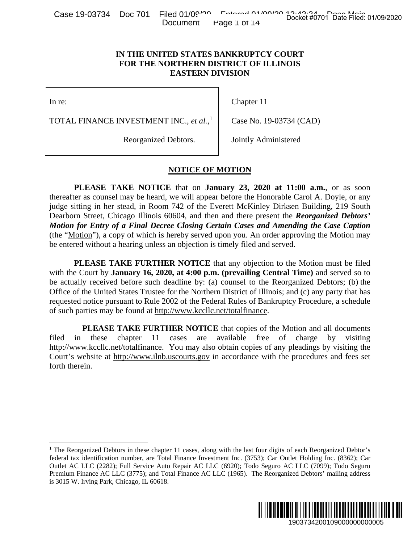|  |  |                       | Case 19-03734 Doc 701 Filed 01/09 <sup>100</sup> Entered 01/09100 Bocket flags 05 Night |                                     |  |  |
|--|--|-----------------------|-----------------------------------------------------------------------------------------|-------------------------------------|--|--|
|  |  | Document Page 1 of 14 |                                                                                         | Docket #0701 Date Filed: 01/09/2020 |  |  |

## **IN THE UNITED STATES BANKRUPTCY COURT FOR THE NORTHERN DISTRICT OF ILLINOIS EASTERN DIVISION**

In re:

 $\overline{a}$ 

Chapter 11

TOTAL FINANCE INVESTMENT INC., *et al.*, 1

Case No. 19-03734 (CAD)

Reorganized Debtors.

Jointly Administered

## **NOTICE OF MOTION**

**PLEASE TAKE NOTICE** that on **January 23, 2020 at 11:00 a.m.**, or as soon thereafter as counsel may be heard, we will appear before the Honorable Carol A. Doyle, or any judge sitting in her stead, in Room 742 of the Everett McKinley Dirksen Building, 219 South Dearborn Street, Chicago Illinois 60604, and then and there present the *Reorganized Debtors' Motion for Entry of a Final Decree Closing Certain Cases and Amending the Case Caption* (the "Motion"), a copy of which is hereby served upon you. An order approving the Motion may be entered without a hearing unless an objection is timely filed and served. Docket #0701 Date Filed: 01/09/2020<br>
URT<br>
URT<br>
OIS<br>
34 (CAD)<br>
ered<br>
11:00 **a.m.**, or as soon<br>
le Carol A. Doyle, or any<br>
seen Building, 219 South<br> *e Reorganized Debtors'*<br>
phyroving the Motion may<br>
phyroving the Motion ma

**PLEASE TAKE FURTHER NOTICE** that any objection to the Motion must be filed with the Court by **January 16, 2020, at 4:00 p.m. (prevailing Central Time)** and served so to be actually received before such deadline by: (a) counsel to the Reorganized Debtors; (b) the Office of the United States Trustee for the Northern District of Illinois; and (c) any party that has requested notice pursuant to Rule 2002 of the Federal Rules of Bankruptcy Procedure, a schedule of such parties may be found at http://www.kccllc.net/totalfinance.

 **PLEASE TAKE FURTHER NOTICE** that copies of the Motion and all documents filed in these chapter 11 cases are available free of charge by visiting http://www.kccllc.net/totalfinance. You may also obtain copies of any pleadings by visiting the Court's website at http://www.ilnb.uscourts.gov in accordance with the procedures and fees set forth therein.

<sup>&</sup>lt;sup>1</sup> The Reorganized Debtors in these chapter 11 cases, along with the last four digits of each Reorganized Debtor's federal tax identification number, are Total Finance Investment Inc. (3753); Car Outlet Holding Inc. (8362); Car Outlet AC LLC (2282); Full Service Auto Repair AC LLC (6920); Todo Seguro AC LLC (7099); Todo Seguro Premium Finance AC LLC (3775); and Total Finance AC LLC (1965). The Reorganized Debtors' mailing address is 3015 W. Irving Park, Chicago, IL 60618.

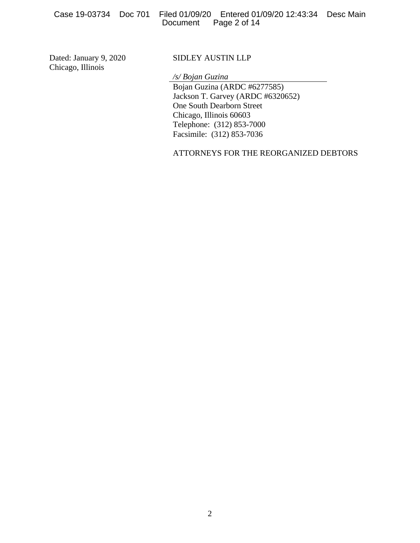Case 19-03734 Doc 701 Filed 01/09/20 Entered 01/09/20 12:43:34 Desc Main Page 2 of 14

Dated: January 9, 2020 Chicago, Illinois

## SIDLEY AUSTIN LLP

*/s/ Bojan Guzina*

 Bojan Guzina (ARDC #6277585) Jackson T. Garvey (ARDC #6320652) One South Dearborn Street Chicago, Illinois 60603 Telephone: (312) 853-7000 Facsimile: (312) 853-7036

ATTORNEYS FOR THE REORGANIZED DEBTORS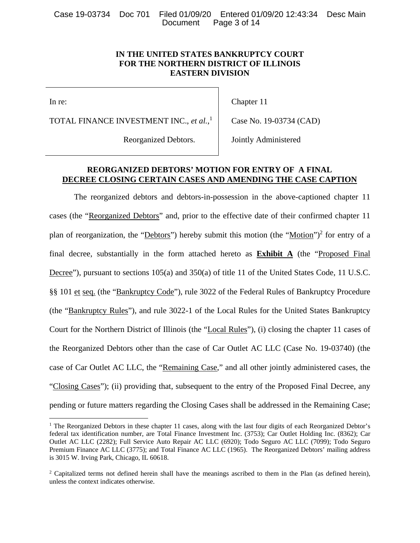Case 19-03734 Doc 701 Filed 01/09/20 Entered 01/09/20 12:43:34 Desc Main Page 3 of 14

## **IN THE UNITED STATES BANKRUPTCY COURT FOR THE NORTHERN DISTRICT OF ILLINOIS EASTERN DIVISION**

In re:

 $\overline{a}$ 

Chapter 11

TOTAL FINANCE INVESTMENT INC., *et al.*, 1

Case No. 19-03734 (CAD)

Reorganized Debtors.

Jointly Administered

## **REORGANIZED DEBTORS' MOTION FOR ENTRY OF A FINAL DECREE CLOSING CERTAIN CASES AND AMENDING THE CASE CAPTION**

The reorganized debtors and debtors-in-possession in the above-captioned chapter 11 cases (the "Reorganized Debtors" and, prior to the effective date of their confirmed chapter 11 plan of reorganization, the "Debtors") hereby submit this motion (the "Motion")<sup>2</sup> for entry of a final decree, substantially in the form attached hereto as **Exhibit A** (the "Proposed Final Decree"), pursuant to sections 105(a) and 350(a) of title 11 of the United States Code, 11 U.S.C. §§ 101 et seq. (the "Bankruptcy Code"), rule 3022 of the Federal Rules of Bankruptcy Procedure (the "Bankruptcy Rules"), and rule 3022-1 of the Local Rules for the United States Bankruptcy Court for the Northern District of Illinois (the "Local Rules"), (i) closing the chapter 11 cases of the Reorganized Debtors other than the case of Car Outlet AC LLC (Case No. 19-03740) (the case of Car Outlet AC LLC, the "Remaining Case," and all other jointly administered cases, the "Closing Cases"); (ii) providing that, subsequent to the entry of the Proposed Final Decree, any pending or future matters regarding the Closing Cases shall be addressed in the Remaining Case;

<sup>&</sup>lt;sup>1</sup> The Reorganized Debtors in these chapter 11 cases, along with the last four digits of each Reorganized Debtor's federal tax identification number, are Total Finance Investment Inc. (3753); Car Outlet Holding Inc. (8362); Car Outlet AC LLC (2282); Full Service Auto Repair AC LLC (6920); Todo Seguro AC LLC (7099); Todo Seguro Premium Finance AC LLC (3775); and Total Finance AC LLC (1965). The Reorganized Debtors' mailing address is 3015 W. Irving Park, Chicago, IL 60618.

<sup>&</sup>lt;sup>2</sup> Capitalized terms not defined herein shall have the meanings ascribed to them in the Plan (as defined herein), unless the context indicates otherwise.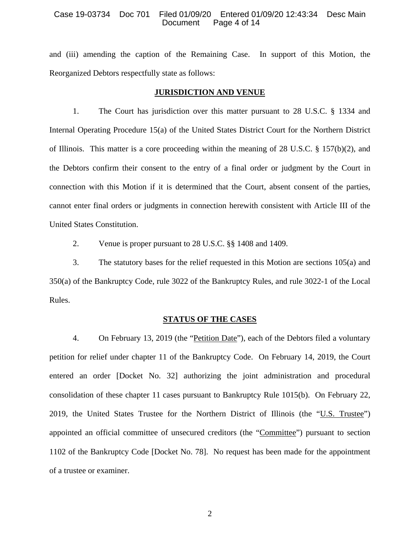#### Case 19-03734 Doc 701 Filed 01/09/20 Entered 01/09/20 12:43:34 Desc Main Page 4 of 14

and (iii) amending the caption of the Remaining Case. In support of this Motion, the Reorganized Debtors respectfully state as follows:

#### **JURISDICTION AND VENUE**

1. The Court has jurisdiction over this matter pursuant to 28 U.S.C. § 1334 and Internal Operating Procedure 15(a) of the United States District Court for the Northern District of Illinois. This matter is a core proceeding within the meaning of 28 U.S.C.  $\S$  157(b)(2), and the Debtors confirm their consent to the entry of a final order or judgment by the Court in connection with this Motion if it is determined that the Court, absent consent of the parties, cannot enter final orders or judgments in connection herewith consistent with Article III of the United States Constitution.

2. Venue is proper pursuant to 28 U.S.C. §§ 1408 and 1409.

3. The statutory bases for the relief requested in this Motion are sections 105(a) and 350(a) of the Bankruptcy Code, rule 3022 of the Bankruptcy Rules, and rule 3022-1 of the Local Rules.

#### **STATUS OF THE CASES**

4. On February 13, 2019 (the "Petition Date"), each of the Debtors filed a voluntary petition for relief under chapter 11 of the Bankruptcy Code. On February 14, 2019, the Court entered an order [Docket No. 32] authorizing the joint administration and procedural consolidation of these chapter 11 cases pursuant to Bankruptcy Rule 1015(b). On February 22, 2019, the United States Trustee for the Northern District of Illinois (the "U.S. Trustee") appointed an official committee of unsecured creditors (the "Committee") pursuant to section 1102 of the Bankruptcy Code [Docket No. 78]. No request has been made for the appointment of a trustee or examiner.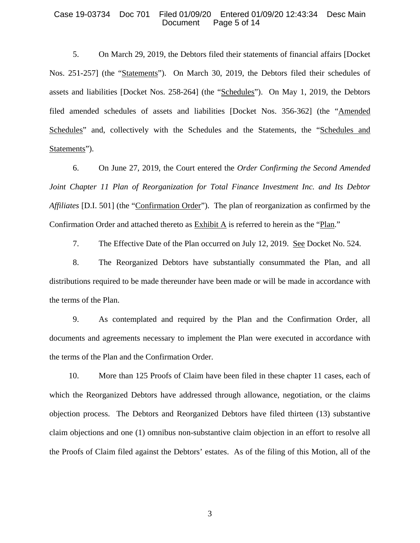#### Case 19-03734 Doc 701 Filed 01/09/20 Entered 01/09/20 12:43:34 Desc Main Page 5 of 14

5. On March 29, 2019, the Debtors filed their statements of financial affairs [Docket Nos. 251-257] (the "Statements"). On March 30, 2019, the Debtors filed their schedules of assets and liabilities [Docket Nos. 258-264] (the "Schedules"). On May 1, 2019, the Debtors filed amended schedules of assets and liabilities [Docket Nos. 356-362] (the "Amended Schedules" and, collectively with the Schedules and the Statements, the "Schedules and Statements").

6. On June 27, 2019, the Court entered the *Order Confirming the Second Amended Joint Chapter 11 Plan of Reorganization for Total Finance Investment Inc. and Its Debtor Affiliates* [D.I. 501] (the "Confirmation Order"). The plan of reorganization as confirmed by the Confirmation Order and attached thereto as Exhibit A is referred to herein as the "Plan."

7. The Effective Date of the Plan occurred on July 12, 2019. See Docket No. 524.

8. The Reorganized Debtors have substantially consummated the Plan, and all distributions required to be made thereunder have been made or will be made in accordance with the terms of the Plan.

9. As contemplated and required by the Plan and the Confirmation Order, all documents and agreements necessary to implement the Plan were executed in accordance with the terms of the Plan and the Confirmation Order.

10. More than 125 Proofs of Claim have been filed in these chapter 11 cases, each of which the Reorganized Debtors have addressed through allowance, negotiation, or the claims objection process. The Debtors and Reorganized Debtors have filed thirteen (13) substantive claim objections and one (1) omnibus non-substantive claim objection in an effort to resolve all the Proofs of Claim filed against the Debtors' estates. As of the filing of this Motion, all of the

3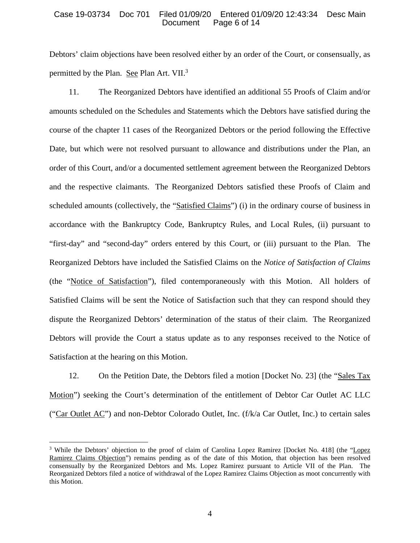#### Case 19-03734 Doc 701 Filed 01/09/20 Entered 01/09/20 12:43:34 Desc Main Page 6 of 14

Debtors' claim objections have been resolved either by an order of the Court, or consensually, as permitted by the Plan. See Plan Art. VII.<sup>3</sup>

11. The Reorganized Debtors have identified an additional 55 Proofs of Claim and/or amounts scheduled on the Schedules and Statements which the Debtors have satisfied during the course of the chapter 11 cases of the Reorganized Debtors or the period following the Effective Date, but which were not resolved pursuant to allowance and distributions under the Plan, an order of this Court, and/or a documented settlement agreement between the Reorganized Debtors and the respective claimants. The Reorganized Debtors satisfied these Proofs of Claim and scheduled amounts (collectively, the "Satisfied Claims") (i) in the ordinary course of business in accordance with the Bankruptcy Code, Bankruptcy Rules, and Local Rules, (ii) pursuant to "first-day" and "second-day" orders entered by this Court, or (iii) pursuant to the Plan. The Reorganized Debtors have included the Satisfied Claims on the *Notice of Satisfaction of Claims* (the "Notice of Satisfaction"), filed contemporaneously with this Motion. All holders of Satisfied Claims will be sent the Notice of Satisfaction such that they can respond should they dispute the Reorganized Debtors' determination of the status of their claim. The Reorganized Debtors will provide the Court a status update as to any responses received to the Notice of Satisfaction at the hearing on this Motion.

12. On the Petition Date, the Debtors filed a motion [Docket No. 23] (the "Sales Tax Motion") seeking the Court's determination of the entitlement of Debtor Car Outlet AC LLC ("Car Outlet AC") and non-Debtor Colorado Outlet, Inc. (f/k/a Car Outlet, Inc.) to certain sales

 $\overline{a}$ 

<sup>&</sup>lt;sup>3</sup> While the Debtors' objection to the proof of claim of Carolina Lopez Ramirez [Docket No. 418] (the "Lopez Ramirez Claims Objection") remains pending as of the date of this Motion, that objection has been resolved consensually by the Reorganized Debtors and Ms. Lopez Ramirez pursuant to Article VII of the Plan. The Reorganized Debtors filed a notice of withdrawal of the Lopez Ramirez Claims Objection as moot concurrently with this Motion.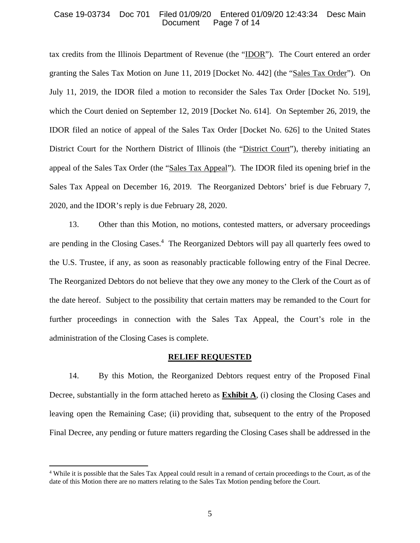#### Case 19-03734 Doc 701 Filed 01/09/20 Entered 01/09/20 12:43:34 Desc Main Page 7 of 14

tax credits from the Illinois Department of Revenue (the "IDOR"). The Court entered an order granting the Sales Tax Motion on June 11, 2019 [Docket No. 442] (the "Sales Tax Order"). On July 11, 2019, the IDOR filed a motion to reconsider the Sales Tax Order [Docket No. 519], which the Court denied on September 12, 2019 [Docket No. 614]. On September 26, 2019, the IDOR filed an notice of appeal of the Sales Tax Order [Docket No. 626] to the United States District Court for the Northern District of Illinois (the "District Court"), thereby initiating an appeal of the Sales Tax Order (the "Sales Tax Appeal"). The IDOR filed its opening brief in the Sales Tax Appeal on December 16, 2019. The Reorganized Debtors' brief is due February 7, 2020, and the IDOR's reply is due February 28, 2020.

13. Other than this Motion, no motions, contested matters, or adversary proceedings are pending in the Closing Cases.<sup>4</sup> The Reorganized Debtors will pay all quarterly fees owed to the U.S. Trustee, if any, as soon as reasonably practicable following entry of the Final Decree. The Reorganized Debtors do not believe that they owe any money to the Clerk of the Court as of the date hereof. Subject to the possibility that certain matters may be remanded to the Court for further proceedings in connection with the Sales Tax Appeal, the Court's role in the administration of the Closing Cases is complete.

#### **RELIEF REQUESTED**

14. By this Motion, the Reorganized Debtors request entry of the Proposed Final Decree, substantially in the form attached hereto as **Exhibit A**, (i) closing the Closing Cases and leaving open the Remaining Case; (ii) providing that, subsequent to the entry of the Proposed Final Decree, any pending or future matters regarding the Closing Cases shall be addressed in the

 $\overline{a}$ 

<sup>4</sup> While it is possible that the Sales Tax Appeal could result in a remand of certain proceedings to the Court, as of the date of this Motion there are no matters relating to the Sales Tax Motion pending before the Court.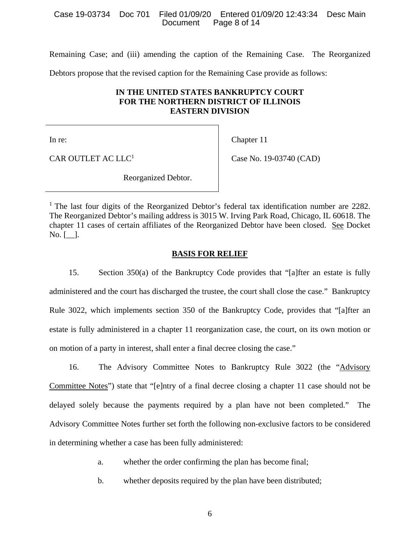#### Case 19-03734 Doc 701 Filed 01/09/20 Entered 01/09/20 12:43:34 Desc Main Page 8 of 14

Remaining Case; and (iii) amending the caption of the Remaining Case. The Reorganized

Debtors propose that the revised caption for the Remaining Case provide as follows:

## **IN THE UNITED STATES BANKRUPTCY COURT FOR THE NORTHERN DISTRICT OF ILLINOIS EASTERN DIVISION**

In re:

Chapter 11

CAR OUTLET AC LLC<sup>1</sup>

Case No. 19-03740 (CAD)

Reorganized Debtor.

<sup>1</sup> The last four digits of the Reorganized Debtor's federal tax identification number are 2282. The Reorganized Debtor's mailing address is 3015 W. Irving Park Road, Chicago, IL 60618. The chapter 11 cases of certain affiliates of the Reorganized Debtor have been closed. See Docket  $No. [$ .

### **BASIS FOR RELIEF**

15. Section 350(a) of the Bankruptcy Code provides that "[a]fter an estate is fully administered and the court has discharged the trustee, the court shall close the case." Bankruptcy Rule 3022, which implements section 350 of the Bankruptcy Code, provides that "[a]fter an estate is fully administered in a chapter 11 reorganization case, the court, on its own motion or on motion of a party in interest, shall enter a final decree closing the case."

16. The Advisory Committee Notes to Bankruptcy Rule 3022 (the "Advisory Committee Notes") state that "[e]ntry of a final decree closing a chapter 11 case should not be delayed solely because the payments required by a plan have not been completed." The Advisory Committee Notes further set forth the following non-exclusive factors to be considered in determining whether a case has been fully administered:

- a. whether the order confirming the plan has become final;
- b. whether deposits required by the plan have been distributed;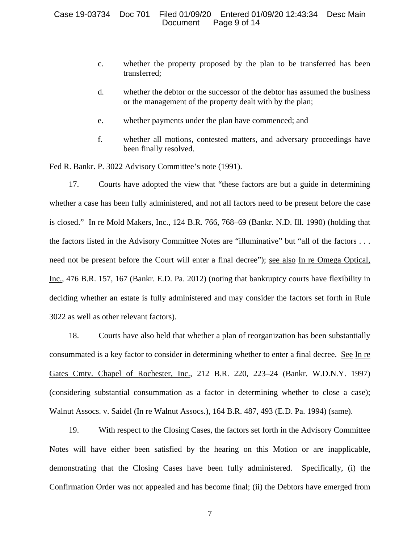#### Case 19-03734 Doc 701 Filed 01/09/20 Entered 01/09/20 12:43:34 Desc Main Page 9 of 14

- c. whether the property proposed by the plan to be transferred has been transferred;
- d. whether the debtor or the successor of the debtor has assumed the business or the management of the property dealt with by the plan;
- e. whether payments under the plan have commenced; and
- f. whether all motions, contested matters, and adversary proceedings have been finally resolved.

Fed R. Bankr. P. 3022 Advisory Committee's note (1991).

17. Courts have adopted the view that "these factors are but a guide in determining whether a case has been fully administered, and not all factors need to be present before the case is closed." In re Mold Makers, Inc., 124 B.R. 766, 768–69 (Bankr. N.D. Ill. 1990) (holding that the factors listed in the Advisory Committee Notes are "illuminative" but "all of the factors . . . need not be present before the Court will enter a final decree"); see also In re Omega Optical, Inc., 476 B.R. 157, 167 (Bankr. E.D. Pa. 2012) (noting that bankruptcy courts have flexibility in deciding whether an estate is fully administered and may consider the factors set forth in Rule 3022 as well as other relevant factors).

18. Courts have also held that whether a plan of reorganization has been substantially consummated is a key factor to consider in determining whether to enter a final decree. See In re Gates Cmty. Chapel of Rochester, Inc., 212 B.R. 220, 223–24 (Bankr. W.D.N.Y. 1997) (considering substantial consummation as a factor in determining whether to close a case); Walnut Assocs. v. Saidel (In re Walnut Assocs.), 164 B.R. 487, 493 (E.D. Pa. 1994) (same).

19. With respect to the Closing Cases, the factors set forth in the Advisory Committee Notes will have either been satisfied by the hearing on this Motion or are inapplicable, demonstrating that the Closing Cases have been fully administered. Specifically, (i) the Confirmation Order was not appealed and has become final; (ii) the Debtors have emerged from

7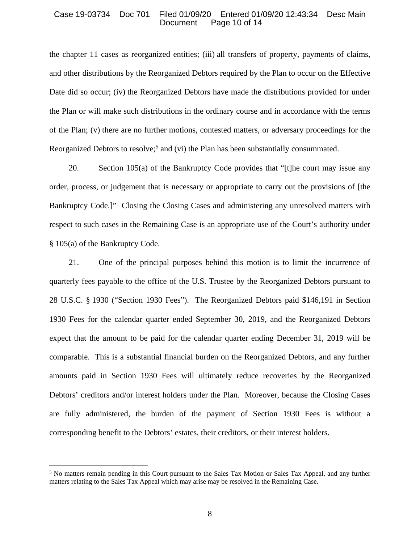#### Case 19-03734 Doc 701 Filed 01/09/20 Entered 01/09/20 12:43:34 Desc Main Page 10 of 14

the chapter 11 cases as reorganized entities; (iii) all transfers of property, payments of claims, and other distributions by the Reorganized Debtors required by the Plan to occur on the Effective Date did so occur; (iv) the Reorganized Debtors have made the distributions provided for under the Plan or will make such distributions in the ordinary course and in accordance with the terms of the Plan; (v) there are no further motions, contested matters, or adversary proceedings for the Reorganized Debtors to resolve;<sup>5</sup> and (vi) the Plan has been substantially consummated.

20. Section 105(a) of the Bankruptcy Code provides that "[t]he court may issue any order, process, or judgement that is necessary or appropriate to carry out the provisions of [the Bankruptcy Code.]" Closing the Closing Cases and administering any unresolved matters with respect to such cases in the Remaining Case is an appropriate use of the Court's authority under § 105(a) of the Bankruptcy Code.

21. One of the principal purposes behind this motion is to limit the incurrence of quarterly fees payable to the office of the U.S. Trustee by the Reorganized Debtors pursuant to 28 U.S.C. § 1930 ("Section 1930 Fees"). The Reorganized Debtors paid \$146,191 in Section 1930 Fees for the calendar quarter ended September 30, 2019, and the Reorganized Debtors expect that the amount to be paid for the calendar quarter ending December 31, 2019 will be comparable. This is a substantial financial burden on the Reorganized Debtors, and any further amounts paid in Section 1930 Fees will ultimately reduce recoveries by the Reorganized Debtors' creditors and/or interest holders under the Plan. Moreover, because the Closing Cases are fully administered, the burden of the payment of Section 1930 Fees is without a corresponding benefit to the Debtors' estates, their creditors, or their interest holders.

 $\overline{a}$ 

<sup>&</sup>lt;sup>5</sup> No matters remain pending in this Court pursuant to the Sales Tax Motion or Sales Tax Appeal, and any further matters relating to the Sales Tax Appeal which may arise may be resolved in the Remaining Case.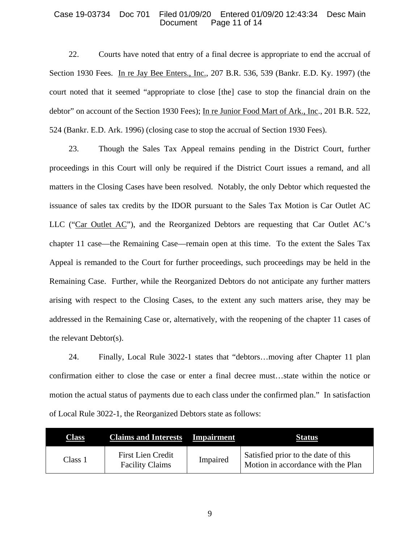#### Case 19-03734 Doc 701 Filed 01/09/20 Entered 01/09/20 12:43:34 Desc Main Page 11 of 14

22. Courts have noted that entry of a final decree is appropriate to end the accrual of Section 1930 Fees. In re Jay Bee Enters., Inc., 207 B.R. 536, 539 (Bankr. E.D. Ky. 1997) (the court noted that it seemed "appropriate to close [the] case to stop the financial drain on the debtor" on account of the Section 1930 Fees); In re Junior Food Mart of Ark., Inc., 201 B.R. 522, 524 (Bankr. E.D. Ark. 1996) (closing case to stop the accrual of Section 1930 Fees).

23. Though the Sales Tax Appeal remains pending in the District Court, further proceedings in this Court will only be required if the District Court issues a remand, and all matters in the Closing Cases have been resolved. Notably, the only Debtor which requested the issuance of sales tax credits by the IDOR pursuant to the Sales Tax Motion is Car Outlet AC LLC ("Car Outlet AC"), and the Reorganized Debtors are requesting that Car Outlet AC's chapter 11 case—the Remaining Case—remain open at this time. To the extent the Sales Tax Appeal is remanded to the Court for further proceedings, such proceedings may be held in the Remaining Case. Further, while the Reorganized Debtors do not anticipate any further matters arising with respect to the Closing Cases, to the extent any such matters arise, they may be addressed in the Remaining Case or, alternatively, with the reopening of the chapter 11 cases of the relevant Debtor(s).

24. Finally, Local Rule 3022-1 states that "debtors…moving after Chapter 11 plan confirmation either to close the case or enter a final decree must…state within the notice or motion the actual status of payments due to each class under the confirmed plan." In satisfaction of Local Rule 3022-1, the Reorganized Debtors state as follows:

| <b>Class</b> | <b>Claims and Interests</b> Impairment      |          | <b>Status</b>                                                             |
|--------------|---------------------------------------------|----------|---------------------------------------------------------------------------|
| Class 1      | First Lien Credit<br><b>Facility Claims</b> | Impaired | Satisfied prior to the date of this<br>Motion in accordance with the Plan |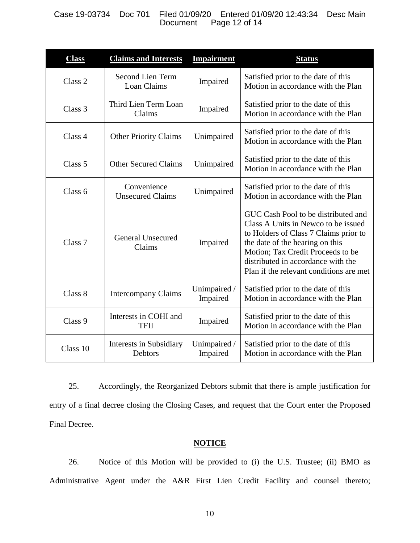### Case 19-03734 Doc 701 Filed 01/09/20 Entered 01/09/20 12:43:34 Desc Main Page 12 of 14

| <b>Class</b>       | <b>Claims and Interests</b>                   | <b>Impairment</b>        | <b>Status</b>                                                                                                                                                                                                                                                                |
|--------------------|-----------------------------------------------|--------------------------|------------------------------------------------------------------------------------------------------------------------------------------------------------------------------------------------------------------------------------------------------------------------------|
| Class 2            | <b>Second Lien Term</b><br><b>Loan Claims</b> | Impaired                 | Satisfied prior to the date of this<br>Motion in accordance with the Plan                                                                                                                                                                                                    |
| Class 3            | Third Lien Term Loan<br>Claims                | Impaired                 | Satisfied prior to the date of this<br>Motion in accordance with the Plan                                                                                                                                                                                                    |
| Class 4            | <b>Other Priority Claims</b>                  | Unimpaired               | Satisfied prior to the date of this<br>Motion in accordance with the Plan                                                                                                                                                                                                    |
| Class 5            | <b>Other Secured Claims</b>                   | Unimpaired               | Satisfied prior to the date of this<br>Motion in accordance with the Plan                                                                                                                                                                                                    |
| Class 6            | Convenience<br><b>Unsecured Claims</b>        | Unimpaired               | Satisfied prior to the date of this<br>Motion in accordance with the Plan                                                                                                                                                                                                    |
| Class <sub>7</sub> | <b>General Unsecured</b><br>Claims            | Impaired                 | GUC Cash Pool to be distributed and<br>Class A Units in Newco to be issued<br>to Holders of Class 7 Claims prior to<br>the date of the hearing on this<br>Motion; Tax Credit Proceeds to be<br>distributed in accordance with the<br>Plan if the relevant conditions are met |
| Class 8            | <b>Intercompany Claims</b>                    | Unimpaired /<br>Impaired | Satisfied prior to the date of this<br>Motion in accordance with the Plan                                                                                                                                                                                                    |
| Class 9            | Interests in COHI and<br>TFII                 | Impaired                 | Satisfied prior to the date of this<br>Motion in accordance with the Plan                                                                                                                                                                                                    |
| Class 10           | Interests in Subsidiary<br>Debtors            | Unimpaired /<br>Impaired | Satisfied prior to the date of this<br>Motion in accordance with the Plan                                                                                                                                                                                                    |

25. Accordingly, the Reorganized Debtors submit that there is ample justification for entry of a final decree closing the Closing Cases, and request that the Court enter the Proposed Final Decree.

## **NOTICE**

26. Notice of this Motion will be provided to (i) the U.S. Trustee; (ii) BMO as Administrative Agent under the A&R First Lien Credit Facility and counsel thereto;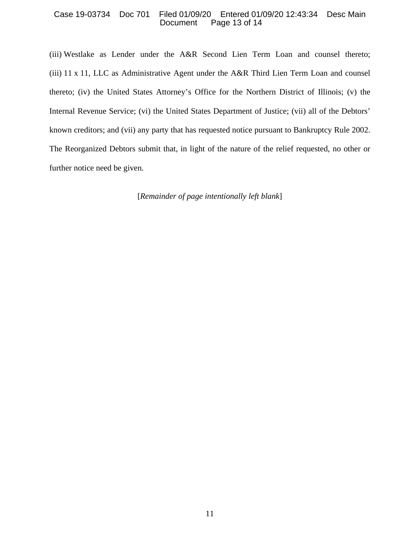#### Case 19-03734 Doc 701 Filed 01/09/20 Entered 01/09/20 12:43:34 Desc Main Page 13 of 14

(iii) Westlake as Lender under the A&R Second Lien Term Loan and counsel thereto; (iii) 11 x 11, LLC as Administrative Agent under the A&R Third Lien Term Loan and counsel thereto; (iv) the United States Attorney's Office for the Northern District of Illinois; (v) the Internal Revenue Service; (vi) the United States Department of Justice; (vii) all of the Debtors' known creditors; and (vii) any party that has requested notice pursuant to Bankruptcy Rule 2002. The Reorganized Debtors submit that, in light of the nature of the relief requested, no other or further notice need be given.

[*Remainder of page intentionally left blank*]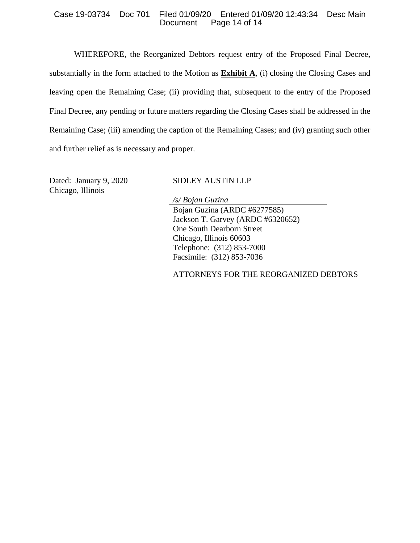#### Case 19-03734 Doc 701 Filed 01/09/20 Entered 01/09/20 12:43:34 Desc Main Page 14 of 14

WHEREFORE, the Reorganized Debtors request entry of the Proposed Final Decree, substantially in the form attached to the Motion as **Exhibit A**, (i) closing the Closing Cases and leaving open the Remaining Case; (ii) providing that, subsequent to the entry of the Proposed Final Decree, any pending or future matters regarding the Closing Cases shall be addressed in the Remaining Case; (iii) amending the caption of the Remaining Cases; and (iv) granting such other and further relief as is necessary and proper.

Dated: January 9, 2020 Chicago, Illinois

## SIDLEY AUSTIN LLP

*/s/ Bojan Guzina* Bojan Guzina (ARDC #6277585) Jackson T. Garvey (ARDC #6320652) One South Dearborn Street Chicago, Illinois 60603 Telephone: (312) 853-7000 Facsimile: (312) 853-7036

## ATTORNEYS FOR THE REORGANIZED DEBTORS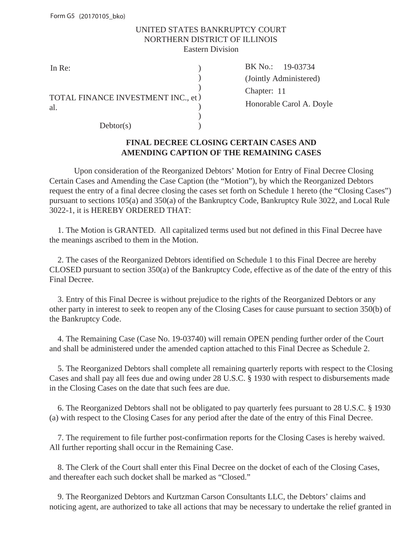## UNITED STATES BANKRUPTCY COURT NORTHERN DISTRICT OF ILLINOIS Eastern Division

| In Re:                                    | BK No.:  |
|-------------------------------------------|----------|
|                                           | (Jointly |
|                                           | Chapter: |
| TOTAL FINANCE INVESTMENT INC., et)<br>al. | Honorab  |
| Dektor(s)                                 |          |

 $(\text{Chapter: } 11)$ BK No.: 19-03734 (Jointly Administered) Honorable Carol A. Doyle

## **FINAL DECREE CLOSING CERTAIN CASES AND AMENDING CAPTION OF THE REMAINING CASES**

Upon consideration of the Reorganized Debtors' Motion for Entry of Final Decree Closing Certain Cases and Amending the Case Caption (the "Motion"), by which the Reorganized Debtors request the entry of a final decree closing the cases set forth on Schedule 1 hereto (the "Closing Cases") pursuant to sections 105(a) and 350(a) of the Bankruptcy Code, Bankruptcy Rule 3022, and Local Rule 3022-1, it is HEREBY ORDERED THAT:

 1. The Motion is GRANTED. All capitalized terms used but not defined in this Final Decree have the meanings ascribed to them in the Motion.

 2. The cases of the Reorganized Debtors identified on Schedule 1 to this Final Decree are hereby CLOSED pursuant to section 350(a) of the Bankruptcy Code, effective as of the date of the entry of this Final Decree.

 3. Entry of this Final Decree is without prejudice to the rights of the Reorganized Debtors or any other party in interest to seek to reopen any of the Closing Cases for cause pursuant to section 350(b) of the Bankruptcy Code.

 4. The Remaining Case (Case No. 19-03740) will remain OPEN pending further order of the Court and shall be administered under the amended caption attached to this Final Decree as Schedule 2.

 5. The Reorganized Debtors shall complete all remaining quarterly reports with respect to the Closing Cases and shall pay all fees due and owing under 28 U.S.C. § 1930 with respect to disbursements made in the Closing Cases on the date that such fees are due.

 6. The Reorganized Debtors shall not be obligated to pay quarterly fees pursuant to 28 U.S.C. § 1930 (a) with respect to the Closing Cases for any period after the date of the entry of this Final Decree.

 7. The requirement to file further post-confirmation reports for the Closing Cases is hereby waived. All further reporting shall occur in the Remaining Case.

 8. The Clerk of the Court shall enter this Final Decree on the docket of each of the Closing Cases, and thereafter each such docket shall be marked as "Closed."

 9. The Reorganized Debtors and Kurtzman Carson Consultants LLC, the Debtors' claims and noticing agent, are authorized to take all actions that may be necessary to undertake the relief granted in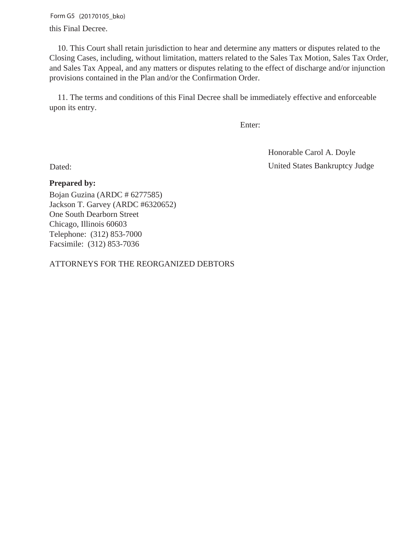Form G5 (20170105\_bko) this Final Decree.

 10. This Court shall retain jurisdiction to hear and determine any matters or disputes related to the Closing Cases, including, without limitation, matters related to the Sales Tax Motion, Sales Tax Order, and Sales Tax Appeal, and any matters or disputes relating to the effect of discharge and/or injunction provisions contained in the Plan and/or the Confirmation Order.

 11. The terms and conditions of this Final Decree shall be immediately effective and enforceable upon its entry.

Enter:

Dated: United States Bankruptcy Judge Honorable Carol A. Doyle

## **Prepared by:**

Bojan Guzina (ARDC # 6277585) Jackson T. Garvey (ARDC #6320652) One South Dearborn Street Chicago, Illinois 60603 Telephone: (312) 853-7000 Facsimile: (312) 853-7036

ATTORNEYS FOR THE REORGANIZED DEBTORS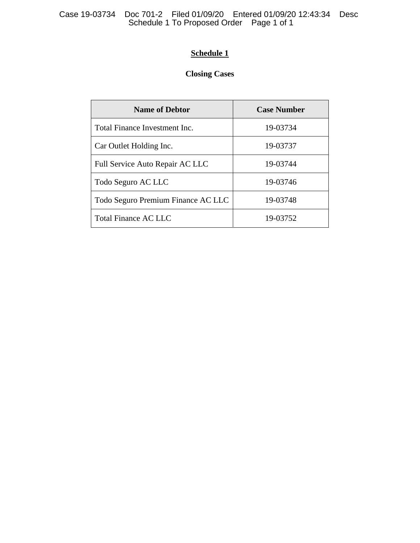## **Schedule 1**

# **Closing Cases**

| <b>Name of Debtor</b>              | <b>Case Number</b> |
|------------------------------------|--------------------|
| Total Finance Investment Inc.      | 19-03734           |
| Car Outlet Holding Inc.            | 19-03737           |
| Full Service Auto Repair AC LLC    | 19-03744           |
| Todo Seguro AC LLC                 | 19-03746           |
| Todo Seguro Premium Finance AC LLC | 19-03748           |
| Total Finance AC LLC               | 19-03752           |